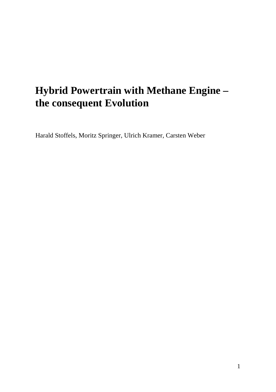# **Hybrid Powertrain with Methane Engine – the consequent Evolution**

Harald Stoffels, Moritz Springer, Ulrich Kramer, Carsten Weber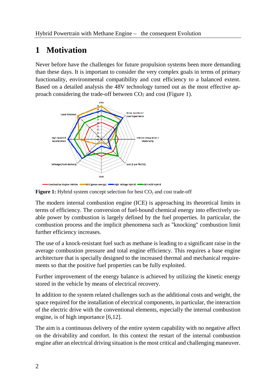## **1 Motivation**

Never before have the challenges for future propulsion systems been more demanding than these days. It is important to consider the very complex goals in terms of primary functionality, environmental compatibility and cost efficiency to a balanced extent. Based on a detailed analysis the 48V technology turned out as the most effective approach considering the trade-off between CO2 and cost (Figure 1).



Figure 1: Hybrid system concept selection for best CO<sub>2</sub> and cost trade-off

The modern internal combustion engine (ICE) is approaching its theoretical limits in terms of efficiency. The conversion of fuel-bound chemical energy into effectively usable power by combustion is largely defined by the fuel properties. In particular, the combustion process and the implicit phenomena such as "knocking" combustion limit further efficiency increases.

The use of a knock-resistant fuel such as methane is leading to a significant raise in the average combustion pressure and total engine efficiency. This requires a base engine architecture that is specially designed to the increased thermal and mechanical requirements so that the positive fuel properties can be fully exploited.

Further improvement of the energy balance is achieved by utilizing the kinetic energy stored in the vehicle by means of electrical recovery.

In addition to the system related challenges such as the additional costs and weight, the space required for the installation of electrical components, in particular, the interaction of the electric drive with the conventional elements, especially the internal combustion engine, is of high importance [6,12].

The aim is a continuous delivery of the entire system capability with no negative affect on the drivability and comfort. In this context the restart of the internal combustion engine after an electrical driving situation is the most critical and challenging maneuver.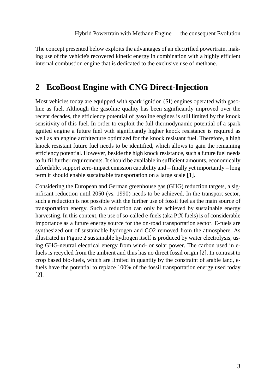The concept presented below exploits the advantages of an electrified powertrain, making use of the vehicle's recovered kinetic energy in combination with a highly efficient internal combustion engine that is dedicated to the exclusive use of methane.

## **2 EcoBoost Engine with CNG Direct-Injection**

Most vehicles today are equipped with spark ignition (SI) engines operated with gasoline as fuel. Although the gasoline quality has been significantly improved over the recent decades, the efficiency potential of gasoline engines is still limited by the knock sensitivity of this fuel. In order to exploit the full thermodynamic potential of a spark ignited engine a future fuel with significantly higher knock resistance is required as well as an engine architecture optimized for the knock resistant fuel. Therefore, a high knock resistant future fuel needs to be identified, which allows to gain the remaining efficiency potential. However, beside the high knock resistance, such a future fuel needs to fulfil further requirements. It should be available in sufficient amounts, economically affordable, support zero-impact emission capability and – finally yet importantly – long term it should enable sustainable transportation on a large scale [1].

Considering the European and German greenhouse gas (GHG) reduction targets, a significant reduction until 2050 (vs. 1990) needs to be achieved. In the transport sector, such a reduction is not possible with the further use of fossil fuel as the main source of transportation energy. Such a reduction can only be achieved by sustainable energy harvesting. In this context, the use of so-called e-fuels (aka PtX fuels) is of considerable importance as a future energy source for the on-road transportation sector. E-fuels are synthesized out of sustainable hydrogen and CO2 removed from the atmosphere. As illustrated in Figure 2 sustainable hydrogen itself is produced by water electrolysis, using GHG-neutral electrical energy from wind- or solar power. The carbon used in efuels is recycled from the ambient and thus has no direct fossil origin [2]. In contrast to crop based bio-fuels, which are limited in quantity by the constraint of arable land, efuels have the potential to replace 100% of the fossil transportation energy used today [2].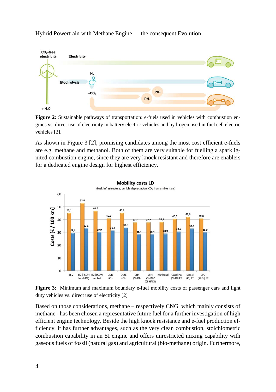

**Figure 2:** Sustainable pathways of transportation: e-fuels used in vehicles with combustion engines vs. direct use of electricity in battery electric vehicles and hydrogen used in fuel cell electric vehicles [2].

As shown in Figure 3 [2], promising candidates among the most cost efficient e-fuels are e.g. methane and methanol. Both of them are very suitable for fuelling a spark ignited combustion engine, since they are very knock resistant and therefore are enablers for a dedicated engine design for highest efficiency.



**Figure 3:** Minimum and maximum boundary e-fuel mobility costs of passenger cars and light duty vehicles vs. direct use of electricity [2]

Based on those considerations, methane – respectively CNG, which mainly consists of methane - has been chosen a representative future fuel for a further investigation of high efficient engine technology. Beside the high knock resistance and e-fuel production efficiency, it has further advantages, such as the very clean combustion, stoichiometric combustion capability in an SI engine and offers unrestricted mixing capability with gaseous fuels of fossil (natural gas) and agricultural (bio-methane) origin. Furthermore,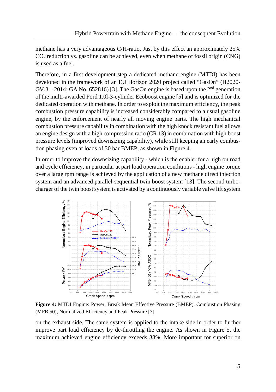methane has a very advantageous C/H-ratio. Just by this effect an approximately 25% CO2 reduction vs. gasoline can be achieved, even when methane of fossil origin (CNG) is used as a fuel.

Therefore, in a first development step a dedicated methane engine (MTDI) has been developed in the framework of an EU Horizon 2020 project called "GasOn" (H2020-  $GV.3 - 2014$ ; GA No. 652816) [3]. The GasOn engine is based upon the  $2<sup>nd</sup>$  generation of the multi-awarded Ford 1.0l-3-cylinder Ecoboost engine [5] and is optimized for the dedicated operation with methane. In order to exploit the maximum efficiency, the peak combustion pressure capability is increased considerably compared to a usual gasoline engine, by the enforcement of nearly all moving engine parts. The high mechanical combustion pressure capability in combination with the high knock resistant fuel allows an engine design with a high compression ratio (CR 13) in combination with high boost pressure levels (improved downsizing capability), while still keeping an early combustion phasing even at loads of 30 bar BMEP, as shown in Figure 4.

In order to improve the downsizing capability - which is the enabler for a high on road and cycle efficiency, in particular at part load operation conditions - high engine torque over a large rpm range is achieved by the application of a new methane direct injection system and an advanced parallel-sequential twin boost system [13]. The second turbocharger of the twin boost system is activated by a continuously variable valve lift system



**Figure 4:** MTDI Engine: Power, Break Mean Effective Pressure (BMEP), Combustion Phasing (MFB 50), Normalized Efficiency and Peak Pressure [3]

on the exhaust side. The same system is applied to the intake side in order to further improve part load efficiency by de-throttling the engine. As shown in Figure 5, the maximum achieved engine efficiency exceeds 38%. More important for superior on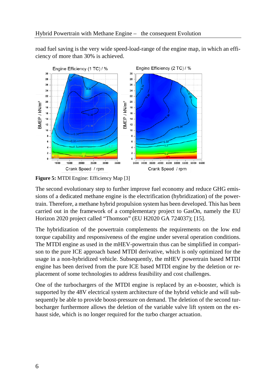road fuel saving is the very wide speed-load-range of the engine map, in which an efficiency of more than 30% is achieved.



Figure 5: MTDI Engine: Efficiency Map [3]

The second evolutionary step to further improve fuel economy and reduce GHG emissions of a dedicated methane engine is the electrification (hybridization) of the powertrain. Therefore, a methane hybrid propulsion system has been developed. This has been carried out in the framework of a complementary project to GasOn, namely the EU Horizon 2020 project called "Thomson" (EU H2020 GA 724037); [15].

The hybridization of the powertrain complements the requirements on the low end torque capability and responsiveness of the engine under several operation conditions. The MTDI engine as used in the mHEV-powertrain thus can be simplified in comparison to the pure ICE approach based MTDI derivative, which is only optimized for the usage in a non-hybridized vehicle. Subsequently, the mHEV powertrain based MTDI engine has been derived from the pure ICE based MTDI engine by the deletion or replacement of some technologies to address feasibility and cost challenges.

One of the turbochargers of the MTDI engine is replaced by an e-booster, which is supported by the 48V electrical system architecture of the hybrid vehicle and will subsequently be able to provide boost-pressure on demand. The deletion of the second turbocharger furthermore allows the deletion of the variable valve lift system on the exhaust side, which is no longer required for the turbo charger actuation.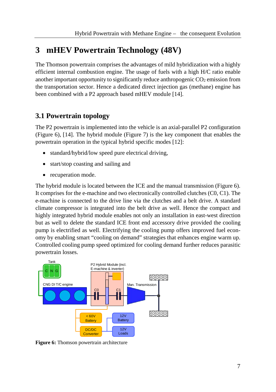## **3 mHEV Powertrain Technology (48V)**

The Thomson powertrain comprises the advantages of mild hybridization with a highly efficient internal combustion engine. The usage of fuels with a high H/C ratio enable another important opportunity to significantly reduce anthropogenic  $CO<sub>2</sub>$  emission from the transportation sector. Hence a dedicated direct injection gas (methane) engine has been combined with a P2 approach based mHEV module [14].

#### **3.1 Powertrain topology**

The P2 powertrain is implemented into the vehicle is an axial-parallel P2 configuration (Figure 6), [14]. The hybrid module (Figure 7) is the key component that enables the powertrain operation in the typical hybrid specific modes [12]:

- standard/hybrid/low speed pure electrical driving,
- start/stop coasting and sailing and
- recuperation mode.

The hybrid module is located between the ICE and the manual transmission (Figure 6). It comprises for the e-machine and two electronically controlled clutches (C0, C1). The e-machine is connected to the drive line via the clutches and a belt drive. A standard climate compressor is integrated into the belt drive as well. Hence the compact and highly integrated hybrid module enables not only an installation in east-west direction but as well to delete the standard ICE front end accessory drive provided the cooling pump is electrified as well. Electrifying the cooling pump offers improved fuel economy by enabling smart "cooling on demand" strategies that enhances engine warm up. Controlled cooling pump speed optimized for cooling demand further reduces parasitic powertrain losses.



**Figure 6:** Thomson powertrain architecture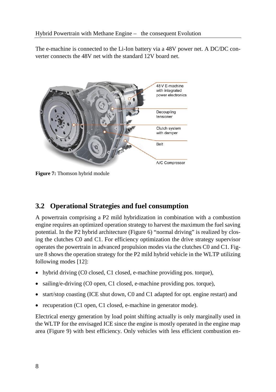The e-machine is connected to the Li-Ion battery via a 48V power net. A DC/DC converter connects the 48V net with the standard 12V board net.



**Figure 7:** Thomson hybrid module

#### **3.2 Operational Strategies and fuel consumption**

A powertrain comprising a P2 mild hybridization in combination with a combustion engine requires an optimized operation strategy to harvest the maximum the fuel saving potential. In the P2 hybrid architecture (Figure 6) "normal driving" is realized by closing the clutches C0 and C1. For efficiency optimization the drive strategy supervisor operates the powertrain in advanced propulsion modes via the clutches C0 and C1. Figure 8 shows the operation strategy for the P2 mild hybrid vehicle in the WLTP utilizing following modes [12]:

- hybrid driving (C0 closed, C1 closed, e-machine providing pos. torque),
- sailing/e-driving (C0 open, C1 closed, e-machine providing pos. torque),
- start/stop coasting (ICE shut down, C0 and C1 adapted for opt. engine restart) and
- recuperation (C1 open, C1 closed, e-machine in generator mode).

Electrical energy generation by load point shifting actually is only marginally used in the WLTP for the envisaged ICE since the engine is mostly operated in the engine map area (Figure 9) with best efficiency. Only vehicles with less efficient combustion en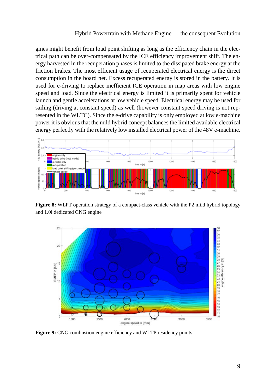gines might benefit from load point shifting as long as the efficiency chain in the electrical path can be over-compensated by the ICE efficiency improvement shift. The energy harvested in the recuperation phases is limited to the dissipated brake energy at the friction brakes. The most efficient usage of recuperated electrical energy is the direct consumption in the board net. Excess recuperated energy is stored in the battery. It is used for e-driving to replace inefficient ICE operation in map areas with low engine speed and load. Since the electrical energy is limited it is primarily spent for vehicle launch and gentle accelerations at low vehicle speed. Electrical energy may be used for sailing (driving at constant speed) as well (however constant speed driving is not represented in the WLTC). Since the e-drive capability is only employed at low e-machine power it is obvious that the mild hybrid concept balances the limited available electrical energy perfectly with the relatively low installed electrical power of the 48V e-machine.



**Figure 8:** WLPT operation strategy of a compact-class vehicle with the P2 mild hybrid topology and 1.0l dedicated CNG engine



**Figure 9:** CNG combustion engine efficiency and WLTP residency points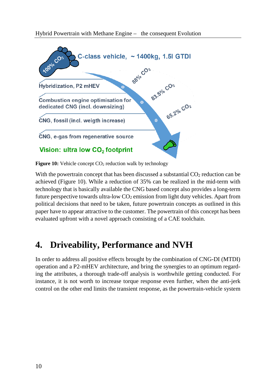

**Figure 10:** Vehicle concept CO<sub>2</sub> reduction walk by technology

With the powertrain concept that has been discussed a substantial  $CO<sub>2</sub>$  reduction can be achieved (Figure 10). While a reduction of 35% can be realized in the mid-term with technology that is basically available the CNG based concept also provides a long-term future perspective towards ultra-low CO2 emission from light duty vehicles. Apart from political decisions that need to be taken, future powertrain concepts as outlined in this paper have to appear attractive to the customer. The powertrain of this concept has been evaluated upfront with a novel approach consisting of a CAE toolchain.

## **4. Driveability, Performance and NVH**

In order to address all positive effects brought by the combination of CNG-DI (MTDI) operation and a P2-mHEV architecture, and bring the synergies to an optimum regarding the attributes, a thorough trade-off analysis is worthwhile getting conducted. For instance, it is not worth to increase torque response even further, when the anti-jerk control on the other end limits the transient response, as the powertrain-vehicle system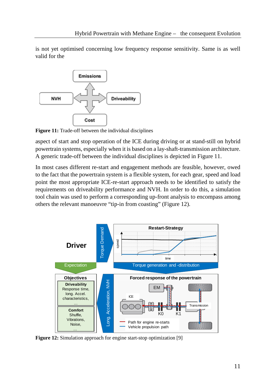is not yet optimised concerning low frequency response sensitivity. Same is as well valid for the



**Figure 11:** Trade-off between the individual disciplines

aspect of start and stop operation of the ICE during driving or at stand-still on hybrid powertrain systems, especially when it is based on a lay-shaft-transmission architecture. A generic trade-off between the individual disciplines is depicted in Figure 11.

In most cases different re-start and engagement methods are feasible, however, owed to the fact that the powertrain system is a flexible system, for each gear, speed and load point the most appropriate ICE-re-start approach needs to be identified to satisfy the requirements on driveability performance and NVH. In order to do this, a simulation tool chain was used to perform a corresponding up-front analysis to encompass among others the relevant manoeuvre "tip-in from coasting" (Figure 12).



**Figure 12:** Simulation approach for engine start-stop optimization [9]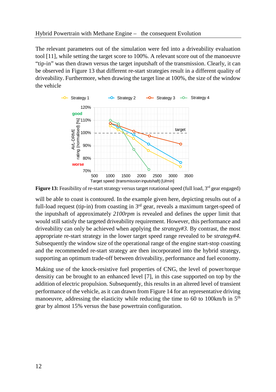The relevant parameters out of the simulation were fed into a driveability evaluation tool [11], while setting the target score to 100%. A relevant score out of the manoeuvre "tip-in" was then drawn versus the target inputshaft of the transmission. Clearly, it can be observed in Figure 13 that different re-start strategies result in a different quality of driveability. Furthermore, when drawing the target line at 100%, the size of the window the vehicle



**Figure 13:** Feasibility of re-start strategy versus target rotational speed (full load, 3<sup>rd</sup> gear engaged)

will be able to coast is contoured. In the example given here, depicting results out of a full-load request (tip-in) from coasting in 3<sup>rd</sup> gear, reveals a maximum target-speed of the inputshaft of approximately *2100rpm* is revealed and defines the upper limit that would still satisfy the targeted driveability requirement. However, this performance and driveability can only be achieved when applying the *strategy#3*. By contrast, the most appropriate re-start strategy in the lower target speed range revealed to be *strategy#4*. Subsequently the window size of the operational range of the engine start-stop coasting and the recommended re-start strategy are then incorporated into the hybrid strategy, supporting an optimum trade-off between driveability, performance and fuel economy.

Making use of the knock-resistive fuel properties of CNG, the level of power/torque densitiy can be brought to an enhanced level [7], in this case supported on top by the addition of electric propulsion. Subsequently, this results in an altered level of transient performance of the vehicle, as it can drawn from Figure 14 for an representative driving manoeuvre, addressing the elasticity while reducing the time to 60 to 100km/h in  $5<sup>th</sup>$ gear by almost 15% versus the base powertrain configuration.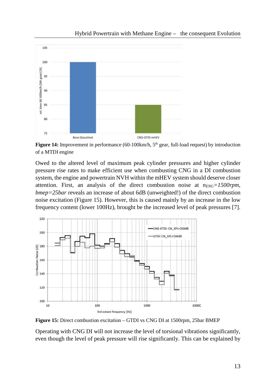

Hybrid Powertrain with Methane Engine – the consequent Evolution

Figure 14: Improvement in performance (60-100km/h, 5<sup>th</sup> gear, full-load request) by introduction of a MTDI engine

Owed to the altered level of maximum peak cylinder pressures and higher cylinder pressure rise rates to make efficient use when combusting CNG in a DI combustion system, the engine and powertrain NVH within the mHEV system should deserve closer attention. First, an analysis of the direct combustion noise at *nENG=1500rpm*, *bmep=25bar* reveals an increase of about 6dB (unweighted!) of the direct combustion noise excitation (Figure 15). However, this is caused mainly by an increase in the low frequency content (lower 100Hz), brought be the increased level of peak pressures [7].



**Figure 15:** Direct combustion excitation – GTDI vs CNG DI at 1500rpm, 25bar BMEP

Operating with CNG DI will not increase the level of torsional vibrations significantly, even though the level of peak pressure will rise significantly. This can be explained by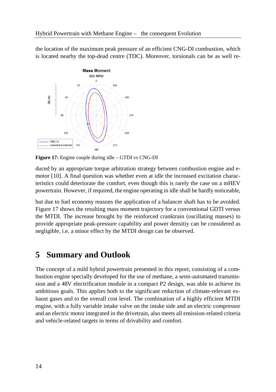the location of the maximum peak pressure of an efficient CNG-DI combustion, which is located nearby the top-dead centre (TDC). Moreover, torsionals can be as well re-



**Figure 17:** Engine couple during idle – GTDI vs CNG-DI

duced by an appropriate torque arbitration strategy between combustion engine and emotor [10]. A final question was whether even at idle the increased excitation characteristics could deteriorate the comfort, even though this is rarely the case on a mHEV powertrain. However, if required, the engine operating in idle shall be hardly noticeable,

but due to fuel economy reasons the application of a balancer shaft has to be avoided. Figure 17 shows the resulting mass moment trajectory for a conventional GDTI versus the MTDI. The increase brought by the reinforced cranktrain (oscillating masses) to provide appropriate peak-pressure capability and power densitiy can be considered as negligible, i.e. a minor effect by the MTDI design can be observed.

## **5 Summary and Outlook**

The concept of a mild hybrid powertrain presented in this report, consisting of a combustion engine specially developed for the use of methane, a semi-automated transmission and a 48V electrification module in a compact P2 design, was able to achieve its ambitious goals. This applies both to the significant reduction of climate-relevant exhaust gases and to the overall cost level. The combination of a highly efficient MTDI engine, with a fully variable intake valve on the intake side and an electric compressor and an electric motor integrated in the drivetrain, also meets all emission-related criteria and vehicle-related targets in terms of drivability and comfort.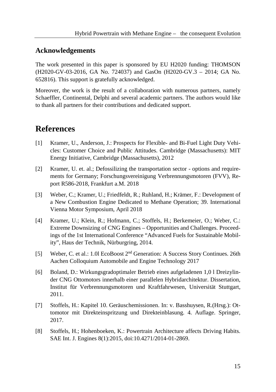#### **Acknowledgements**

The work presented in this paper is sponsored by EU H2020 funding: THOMSON (H2020-GV-03-2016, GA No. 724037) and GasOn (H2020-GV.3 – 2014; GA No. 652816). This support is gratefully acknowledged.

Moreover, the work is the result of a collaboration with numerous partners, namely Schaeffler, Continental, Delphi and several academic partners. The authors would like to thank all partners for their contributions and dedicated support.

#### **References**

- [1] Kramer, U., Anderson, J.: Prospects for Flexible- and Bi-Fuel Light Duty Vehicles: Customer Choice and Public Attitudes. Cambridge (Massachusetts): MIT Energy Initiative, Cambridge (Massachusetts), 2012
- [2] Kramer, U. et. al.; Defossilizing the transportation sector options and requirements for Germany; Forschungsvereinigung Verbrennungsmotoren (FVV), Report R586-2018, Frankfurt a.M. 2018
- [3] Weber, C.; Kramer, U.; Friedfeldt, R.; Ruhland, H.; Krämer, F.: Development of a New Combustion Engine Dedicated to Methane Operation; 39. International Vienna Motor Symposium, April 2018
- [4] Kramer, U.; Klein, R.; Hofmann, C.; Stoffels, H.; Berkemeier, O.; Weber, C.: Extreme Downsizing of CNG Engines – Opportunities and Challenges. Proceedings of the 1st International Conference "Advanced Fuels for Sustainable Mobility", Haus der Technik, Nürburgring, 2014.
- [5] Weber, C. et al.: 1.0l EcoBoost 2nd Generation: A Success Story Continues. 26th Aachen Colloquium Automobile and Engine Technology 2017
- [6] Boland, D.: Wirkungsgradoptimaler Betrieb eines aufgeladenen 1,0 l Dreizylinder CNG Ottomotors innerhalb einer parallelen Hybridarchitektur. Dissertation, Institut für Verbrennungsmotoren und Kraftfahrwesen, Universität Stuttgart, 2011.
- [7] Stoffels, H.: Kapitel 10. Geräuschemissionen. In: v. Basshuysen, R.(Hrsg.): Ottomotor mit Direkteinspritzung und Direkteinblasung. 4. Auflage. Springer, 2017.
- [8] Stoffels, H.; Hohenboeken, K.: Powertrain Architecture affects Driving Habits. SAE Int. J. Engines 8(1):2015, doi:10.4271/2014-01-2869.